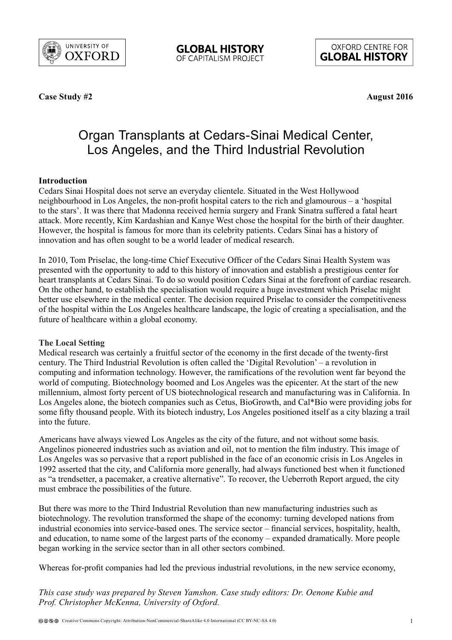

OXFORD CENTRE FOR **GLOBAL HISTORY** 

**Case Study #2**

**August 2016**

# Organ Transplants at Cedars-Sinai Medical Center, Los Angeles, and the Third Industrial Revolution

# **Introduction**

Cedars Sinai Hospital does not serve an everyday clientele. Situated in the West Hollywood neighbourhood in Los Angeles, the non-profit hospital caters to the rich and glamourous – a 'hospital to the stars'. It was there that Madonna received hernia surgery and Frank Sinatra suffered a fatal heart attack. More recently, Kim Kardashian and Kanye West chose the hospital for the birth of their daughter. However, the hospital is famous for more than its celebrity patients. Cedars Sinai has a history of innovation and has often sought to be a world leader of medical research.

In 2010, Tom Priselac, the long-time Chief Executive Officer of the Cedars Sinai Health System was presented with the opportunity to add to this history of innovation and establish a prestigious center for heart transplants at Cedars Sinai. To do so would position Cedars Sinai at the forefront of cardiac research. On the other hand, to establish the specialisation would require a huge investment which Priselac might better use elsewhere in the medical center. The decision required Priselac to consider the competitiveness of the hospital within the Los Angeles healthcare landscape, the logic of creating a specialisation, and the future of healthcare within a global economy.

## **The Local Setting**

Medical research was certainly a fruitful sector of the economy in the first decade of the twenty-first century. The Third Industrial Revolution is often called the 'Digital Revolution' – a revolution in computing and information technology. However, the ramifications of the revolution went far beyond the world of computing. Biotechnology boomed and Los Angeles was the epicenter. At the start of the new millennium, almost forty percent of US biotechnological research and manufacturing was in California. In Los Angeles alone, the biotech companies such as Cetus, BioGrowth, and Cal\*Bio were providing jobs for some fifty thousand people. With its biotech industry, Los Angeles positioned itself as a city blazing a trail into the future.

Americans have always viewed Los Angeles as the city of the future, and not without some basis. Angelinos pioneered industries such as aviation and oil, not to mention the film industry. This image of Los Angeles was so pervasive that a report published in the face of an economic crisis in Los Angeles in 1992 asserted that the city, and California more generally, had always functioned best when it functioned as "a trendsetter, a pacemaker, a creative alternative". To recover, the Ueberroth Report argued, the city must embrace the possibilities of the future.

But there was more to the Third Industrial Revolution than new manufacturing industries such as biotechnology. The revolution transformed the shape of the economy: turning developed nations from industrial economies into service-based ones. The service sector – financial services, hospitality, health, and education, to name some of the largest parts of the economy – expanded dramatically. More people began working in the service sector than in all other sectors combined.

Whereas for-profit companies had led the previous industrial revolutions, in the new service economy,

*This case study was prepared by Steven Yamshon. Case study editors: Dr. Oenone Kubie and Prof. Christopher McKenna, University of Oxford.*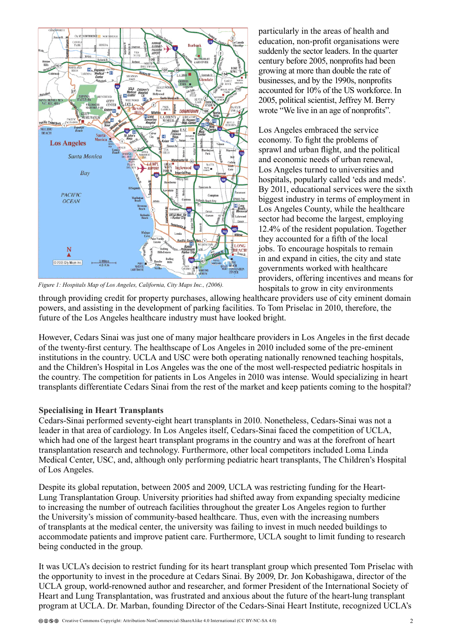

*Figure 1: Hospitals Map of Los Angeles, California, City Maps Inc., (2006).*

particularly in the areas of health and education, non-profit organisations were suddenly the sector leaders. In the quarter century before 2005, nonprofits had been growing at more than double the rate of businesses, and by the 1990s, nonprofits accounted for 10% of the US workforce. In 2005, political scientist, Jeffrey M. Berry wrote "We live in an age of nonprofits".

Los Angeles embraced the service economy. To fight the problems of sprawl and urban flight, and the political and economic needs of urban renewal, Los Angeles turned to universities and hospitals, popularly called 'eds and meds'. By 2011, educational services were the sixth biggest industry in terms of employment in Los Angeles County, while the healthcare sector had become the largest, employing 12.4% of the resident population. Together they accounted for a fifth of the local jobs. To encourage hospitals to remain in and expand in cities, the city and state governments worked with healthcare providers, offering incentives and means for hospitals to grow in city environments

through providing credit for property purchases, allowing healthcare providers use of city eminent domain powers, and assisting in the development of parking facilities. To Tom Priselac in 2010, therefore, the future of the Los Angeles healthcare industry must have looked bright.

However, Cedars Sinai was just one of many major healthcare providers in Los Angeles in the first decade of the twenty-first century. The healthscape of Los Angeles in 2010 included some of the pre-eminent institutions in the country. UCLA and USC were both operating nationally renowned teaching hospitals, and the Children's Hospital in Los Angeles was the one of the most well-respected pediatric hospitals in the country. The competition for patients in Los Angeles in 2010 was intense. Would specializing in heart transplants differentiate Cedars Sinai from the rest of the market and keep patients coming to the hospital?

## **Specialising in Heart Transplants**

Cedars-Sinai performed seventy-eight heart transplants in 2010. Nonetheless, Cedars-Sinai was not a leader in that area of cardiology. In Los Angeles itself, Cedars-Sinai faced the competition of UCLA, which had one of the largest heart transplant programs in the country and was at the forefront of heart transplantation research and technology. Furthermore, other local competitors included Loma Linda Medical Center, USC, and, although only performing pediatric heart transplants, The Children's Hospital of Los Angeles.

Despite its global reputation, between 2005 and 2009, UCLA was restricting funding for the Heart-Lung Transplantation Group. University priorities had shifted away from expanding specialty medicine to increasing the number of outreach facilities throughout the greater Los Angeles region to further the University's mission of community-based healthcare. Thus, even with the increasing numbers of transplants at the medical center, the university was failing to invest in much needed buildings to accommodate patients and improve patient care. Furthermore, UCLA sought to limit funding to research being conducted in the group.

It was UCLA's decision to restrict funding for its heart transplant group which presented Tom Priselac with the opportunity to invest in the procedure at Cedars Sinai. By 2009, Dr. Jon Kobashigawa, director of the UCLA group, world-renowned author and researcher, and former President of the International Society of Heart and Lung Transplantation, was frustrated and anxious about the future of the heart-lung transplant program at UCLA. Dr. Marban, founding Director of the Cedars-Sinai Heart Institute, recognized UCLA's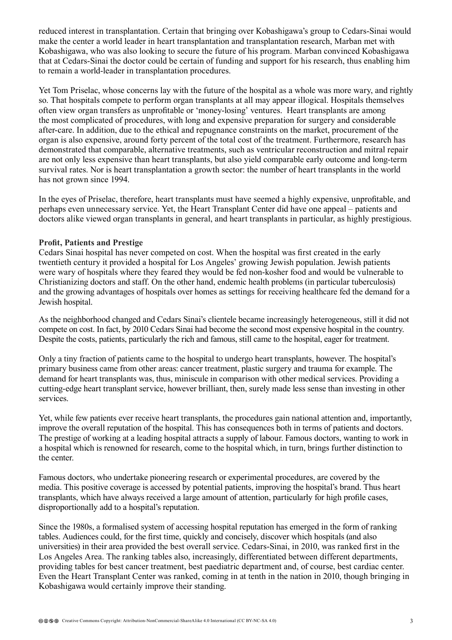reduced interest in transplantation. Certain that bringing over Kobashigawa's group to Cedars-Sinai would make the center a world leader in heart transplantation and transplantation research, Marban met with Kobashigawa, who was also looking to secure the future of his program. Marban convinced Kobashigawa that at Cedars-Sinai the doctor could be certain of funding and support for his research, thus enabling him to remain a world-leader in transplantation procedures.

Yet Tom Priselac, whose concerns lay with the future of the hospital as a whole was more wary, and rightly so. That hospitals compete to perform organ transplants at all may appear illogical. Hospitals themselves often view organ transfers as unprofitable or 'money-losing' ventures. Heart transplants are among the most complicated of procedures, with long and expensive preparation for surgery and considerable after-care. In addition, due to the ethical and repugnance constraints on the market, procurement of the organ is also expensive, around forty percent of the total cost of the treatment. Furthermore, research has demonstrated that comparable, alternative treatments, such as ventricular reconstruction and mitral repair are not only less expensive than heart transplants, but also yield comparable early outcome and long-term survival rates. Nor is heart transplantation a growth sector: the number of heart transplants in the world has not grown since 1994.

In the eyes of Priselac, therefore, heart transplants must have seemed a highly expensive, unprofitable, and perhaps even unnecessary service. Yet, the Heart Transplant Center did have one appeal – patients and doctors alike viewed organ transplants in general, and heart transplants in particular, as highly prestigious.

#### **Profit, Patients and Prestige**

Cedars Sinai hospital has never competed on cost. When the hospital was first created in the early twentieth century it provided a hospital for Los Angeles' growing Jewish population. Jewish patients were wary of hospitals where they feared they would be fed non-kosher food and would be vulnerable to Christianizing doctors and staff. On the other hand, endemic health problems (in particular tuberculosis) and the growing advantages of hospitals over homes as settings for receiving healthcare fed the demand for a Jewish hospital.

As the neighborhood changed and Cedars Sinai's clientele became increasingly heterogeneous, still it did not compete on cost. In fact, by 2010 Cedars Sinai had become the second most expensive hospital in the country. Despite the costs, patients, particularly the rich and famous, still came to the hospital, eager for treatment.

Only a tiny fraction of patients came to the hospital to undergo heart transplants, however. The hospital's primary business came from other areas: cancer treatment, plastic surgery and trauma for example. The demand for heart transplants was, thus, miniscule in comparison with other medical services. Providing a cutting-edge heart transplant service, however brilliant, then, surely made less sense than investing in other services.

Yet, while few patients ever receive heart transplants, the procedures gain national attention and, importantly, improve the overall reputation of the hospital. This has consequences both in terms of patients and doctors. The prestige of working at a leading hospital attracts a supply of labour. Famous doctors, wanting to work in a hospital which is renowned for research, come to the hospital which, in turn, brings further distinction to the center.

Famous doctors, who undertake pioneering research or experimental procedures, are covered by the media. This positive coverage is accessed by potential patients, improving the hospital's brand. Thus heart transplants, which have always received a large amount of attention, particularly for high profile cases, disproportionally add to a hospital's reputation.

Since the 1980s, a formalised system of accessing hospital reputation has emerged in the form of ranking tables. Audiences could, for the first time, quickly and concisely, discover which hospitals (and also universities) in their area provided the best overall service. Cedars-Sinai, in 2010, was ranked first in the Los Angeles Area. The ranking tables also, increasingly, differentiated between different departments, providing tables for best cancer treatment, best paediatric department and, of course, best cardiac center. Even the Heart Transplant Center was ranked, coming in at tenth in the nation in 2010, though bringing in Kobashigawa would certainly improve their standing.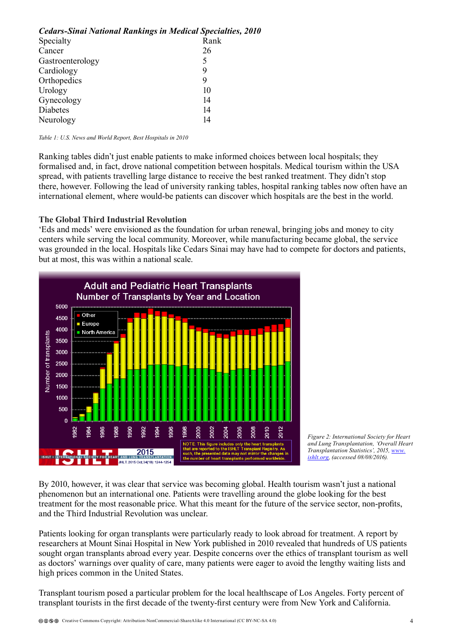| Cedars-Sinai National Rankings in Medical Specialties, 2010 |      |
|-------------------------------------------------------------|------|
| Specialty                                                   | Rank |
| Cancer                                                      | 26   |
| Gastroenterology                                            | 5    |
| Cardiology                                                  | 9    |
| Orthopedics                                                 | 9    |
| Urology                                                     | 10   |
| Gynecology                                                  | 14   |
| Diabetes                                                    | 14   |
| Neurology                                                   | 14   |

*Table 1: U.S. News and World Report, Best Hospitals in 2010*

Ranking tables didn't just enable patients to make informed choices between local hospitals; they formalised and, in fact, drove national competition between hospitals. Medical tourism within the USA spread, with patients travelling large distance to receive the best ranked treatment. They didn't stop there, however. Following the lead of university ranking tables, hospital ranking tables now often have an international element, where would-be patients can discover which hospitals are the best in the world.

#### **The Global Third Industrial Revolution**

'Eds and meds' were envisioned as the foundation for urban renewal, bringing jobs and money to city centers while serving the local community. Moreover, while manufacturing became global, the service was grounded in the local. Hospitals like Cedars Sinai may have had to compete for doctors and patients, but at most, this was within a national scale.





By 2010, however, it was clear that service was becoming global. Health tourism wasn't just a national phenomenon but an international one. Patients were travelling around the globe looking for the best treatment for the most reasonable price. What this meant for the future of the service sector, non-profits, and the Third Industrial Revolution was unclear.

Patients looking for organ transplants were particularly ready to look abroad for treatment. A report by researchers at Mount Sinai Hospital in New York published in 2010 revealed that hundreds of US patients sought organ transplants abroad every year. Despite concerns over the ethics of transplant tourism as well as doctors' warnings over quality of care, many patients were eager to avoid the lengthy waiting lists and high prices common in the United States.

Transplant tourism posed a particular problem for the local healthscape of Los Angeles. Forty percent of transplant tourists in the first decade of the twenty-first century were from New York and California.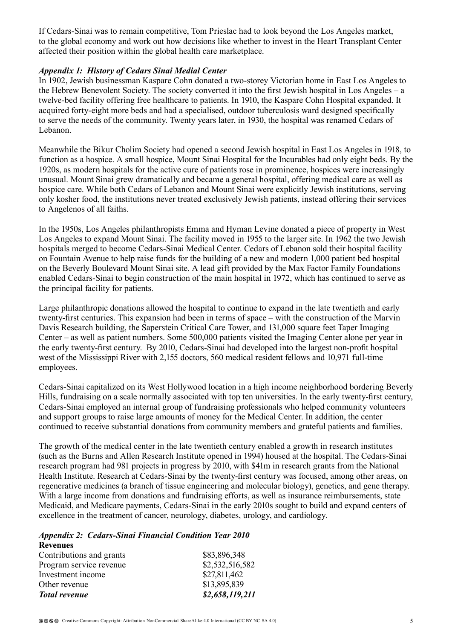If Cedars-Sinai was to remain competitive, Tom Prieslac had to look beyond the Los Angeles market, to the global economy and work out how decisions like whether to invest in the Heart Transplant Center affected their position within the global health care marketplace.

## *Appendix 1: History of Cedars Sinai Medial Center*

In 1902, Jewish businessman Kaspare Cohn donated a two-storey Victorian home in East Los Angeles to the Hebrew Benevolent Society. The society converted it into the first Jewish hospital in Los Angeles – a twelve-bed facility offering free healthcare to patients. In 1910, the Kaspare Cohn Hospital expanded. It acquired forty-eight more beds and had a specialised, outdoor tuberculosis ward designed specifically to serve the needs of the community. Twenty years later, in 1930, the hospital was renamed Cedars of Lebanon.

Meanwhile the Bikur Cholim Society had opened a second Jewish hospital in East Los Angeles in 1918, to function as a hospice. A small hospice, Mount Sinai Hospital for the Incurables had only eight beds. By the 1920s, as modern hospitals for the active cure of patients rose in prominence, hospices were increasingly unusual. Mount Sinai grew dramatically and became a general hospital, offering medical care as well as hospice care. While both Cedars of Lebanon and Mount Sinai were explicitly Jewish institutions, serving only kosher food, the institutions never treated exclusively Jewish patients, instead offering their services to Angelenos of all faiths.

In the 1950s, Los Angeles philanthropists Emma and Hyman Levine donated a piece of property in West Los Angeles to expand Mount Sinai. The facility moved in 1955 to the larger site. In 1962 the two Jewish hospitals merged to become Cedars-Sinai Medical Center. Cedars of Lebanon sold their hospital facility on Fountain Avenue to help raise funds for the building of a new and modern 1,000 patient bed hospital on the Beverly Boulevard Mount Sinai site. A lead gift provided by the Max Factor Family Foundations enabled Cedars-Sinai to begin construction of the main hospital in 1972, which has continued to serve as the principal facility for patients.

Large philanthropic donations allowed the hospital to continue to expand in the late twentieth and early twenty-first centuries. This expansion had been in terms of space – with the construction of the Marvin Davis Research building, the Saperstein Critical Care Tower, and 131,000 square feet Taper Imaging Center – as well as patient numbers. Some 500,000 patients visited the Imaging Center alone per year in the early twenty-first century. By 2010, Cedars-Sinai had developed into the largest non-profit hospital west of the Mississippi River with 2,155 doctors, 560 medical resident fellows and 10,971 full-time employees.

Cedars-Sinai capitalized on its West Hollywood location in a high income neighborhood bordering Beverly Hills, fundraising on a scale normally associated with top ten universities. In the early twenty-first century, Cedars-Sinai employed an internal group of fundraising professionals who helped community volunteers and support groups to raise large amounts of money for the Medical Center. In addition, the center continued to receive substantial donations from community members and grateful patients and families.

The growth of the medical center in the late twentieth century enabled a growth in research institutes (such as the Burns and Allen Research Institute opened in 1994) housed at the hospital. The Cedars-Sinai research program had 981 projects in progress by 2010, with \$41m in research grants from the National Health Institute. Research at Cedars-Sinai by the twenty-first century was focused, among other areas, on regenerative medicines (a branch of tissue engineering and molecular biology), genetics, and gene therapy. With a large income from donations and fundraising efforts, as well as insurance reimbursements, state Medicaid, and Medicare payments, Cedars-Sinai in the early 2010s sought to build and expand centers of excellence in the treatment of cancer, neurology, diabetes, urology, and cardiology.

*Appendix 2: Cedars-Sinai Financial Condition Year 2010*

| <b>Revenues</b>          |                 |
|--------------------------|-----------------|
| Contributions and grants | \$83,896,348    |
| Program service revenue  | \$2,532,516,582 |
| Investment income        | \$27,811,462    |
| Other revenue            | \$13,895,839    |
| <b>Total revenue</b>     | \$2,658,119,211 |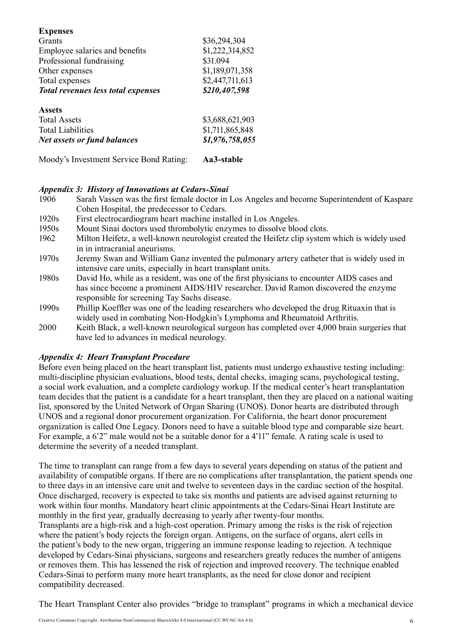| <b>Expenses</b>                           |                   |
|-------------------------------------------|-------------------|
| Grants                                    | \$36,294,304      |
| Employee salaries and benefits            | \$1,222,314,852   |
| Professional fundraising                  | \$31.094          |
| Other expenses                            | \$1,189,071,358   |
| Total expenses                            | \$2,447,711,613   |
| <b>Total revenues less total expenses</b> | \$210,407,598     |
| Assets                                    |                   |
| <b>Total Assets</b>                       | \$3,688,621,903   |
| <b>Total Liabilities</b>                  | \$1,711,865,848   |
| <b>Net assets or fund balances</b>        | \$1,976,758,055   |
| Moody's Investment Service Bond Rating:   | <b>Aa3-stable</b> |

## *Appendix 3: History of Innovations at Cedars-Sinai*

- 1906 Sarah Vassen was the first female doctor in Los Angeles and become Superintendent of Kaspare Cohen Hospital, the predecessor to Cedars.
- 1920s First electrocardiogram heart machine installed in Los Angeles.
- 1950s Mount Sinai doctors used thrombolytic enzymes to dissolve blood clots.
- 1962 Milton Heifetz, a well-known neurologist created the Heifetz clip system which is widely used in in intracranial aneurisms.
- 1970s Jeremy Swan and William Ganz invented the pulmonary artery catheter that is widely used in intensive care units, especially in heart transplant units.
- 1980s David Ho, while as a resident, was one of the first physicians to encounter AIDS cases and has since become a prominent AIDS/HIV researcher. David Ramon discovered the enzyme responsible for screening Tay Sachs disease.
- 1990s Phillip Koeffler was one of the leading researchers who developed the drug Rituaxin that is widely used in combating Non-Hodgkin's Lymphoma and Rheumatoid Arthritis.
- 2000 Keith Black, a well-known neurological surgeon has completed over 4,000 brain surgeries that have led to advances in medical neurology.

## *Appendix 4: Heart Transplant Procedure*

Before even being placed on the heart transplant list, patients must undergo exhaustive testing including: multi-discipline physician evaluations, blood tests, dental checks, imaging scans, psychological testing, a social work evaluation, and a complete cardiology workup. If the medical center's heart transplantation team decides that the patient is a candidate for a heart transplant, then they are placed on a national waiting list, sponsored by the United Network of Organ Sharing (UNOS). Donor hearts are distributed through UNOS and a regional donor procurement organization. For California, the heart donor procurement organization is called One Legacy. Donors need to have a suitable blood type and comparable size heart. For example, a 6'2" male would not be a suitable donor for a 4'11" female. A rating scale is used to determine the severity of a needed transplant.

The time to transplant can range from a few days to several years depending on status of the patient and availability of compatible organs. If there are no complications after transplantation, the patient spends one to three days in an intensive care unit and twelve to seventeen days in the cardiac section of the hospital. Once discharged, recovery is expected to take six months and patients are advised against returning to work within four months. Mandatory heart clinic appointments at the Cedars-Sinai Heart Institute are monthly in the first year, gradually decreasing to yearly after twenty-four months.

Transplants are a high-risk and a high-cost operation. Primary among the risks is the risk of rejection where the patient's body rejects the foreign organ. Antigens, on the surface of organs, alert cells in the patient's body to the new organ, triggering an immune response leading to rejection. A technique developed by Cedars-Sinai physicians, surgeons and researchers greatly reduces the number of antigens or removes them. This has lessened the risk of rejection and improved recovery. The technique enabled Cedars-Sinai to perform many more heart transplants, as the need for close donor and recipient compatibility decreased.

The Heart Transplant Center also provides "bridge to transplant" programs in which a mechanical device